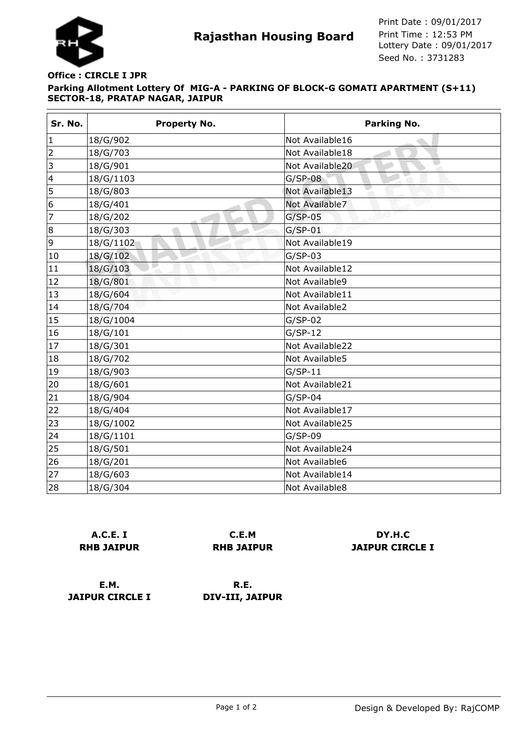

## **Parking Allotment Lottery Of MIG-A - PARKING OF BLOCK-G GOMATI APARTMENT (S+11) SECTOR-18, PRATAP NAGAR, JAIPUR Office : CIRCLE I JPR**

| Sr. No.                 | <b>Property No.</b> | <b>Parking No.</b>    |
|-------------------------|---------------------|-----------------------|
| $\mathbf 1$             | 18/G/902            | Not Available16       |
| $\overline{2}$          | 18/G/703            | Not Available18       |
| 3                       | 18/G/901            | Not Available20<br>φŪ |
| $\overline{\mathbf{4}}$ | 18/G/1103           | $G/SP-08$             |
| 5                       | 18/G/803            | Not Available13       |
| 6                       | 18/G/401            | Not Available7        |
| 7                       | 18/G/202            | $G/SP-05$             |
| 8                       | 18/G/303            | $G/SP-01$             |
| 9                       | 18/G/1102           | Not Available19       |
| 10                      | 18/G/102            | $G/SP-03$             |
| 11                      | 18/G/103            | Not Available12       |
| 12                      | 18/G/801            | Not Available9        |
| 13                      | 18/G/604            | Not Available11       |
| 14                      | 18/G/704            | Not Available2        |
| 15                      | 18/G/1004           | $G/SP-02$             |
| 16                      | 18/G/101            | $G/SP-12$             |
| 17                      | 18/G/301            | Not Available22       |
| 18                      | 18/G/702            | Not Available5        |
| 19                      | 18/G/903            | $G/SP-11$             |
| 20                      | 18/G/601            | Not Available21       |
| 21                      | 18/G/904            | $G/SP-04$             |
| 22                      | 18/G/404            | Not Available17       |
| 23                      | 18/G/1002           | Not Available25       |
| 24                      | 18/G/1101           | $G/SP-09$             |
| 25                      | 18/G/501            | Not Available24       |
| 26                      | 18/G/201            | Not Available6        |
| 27                      | 18/G/603            | Not Available14       |
| 28                      | 18/G/304            | Not Available8        |

**A.C.E. I RHB JAIPUR**

**C.E.M RHB JAIPUR**

**DY.H.C JAIPUR CIRCLE I**

**E.M. JAIPUR CIRCLE I**

**R.E. DIV-III, JAIPUR**